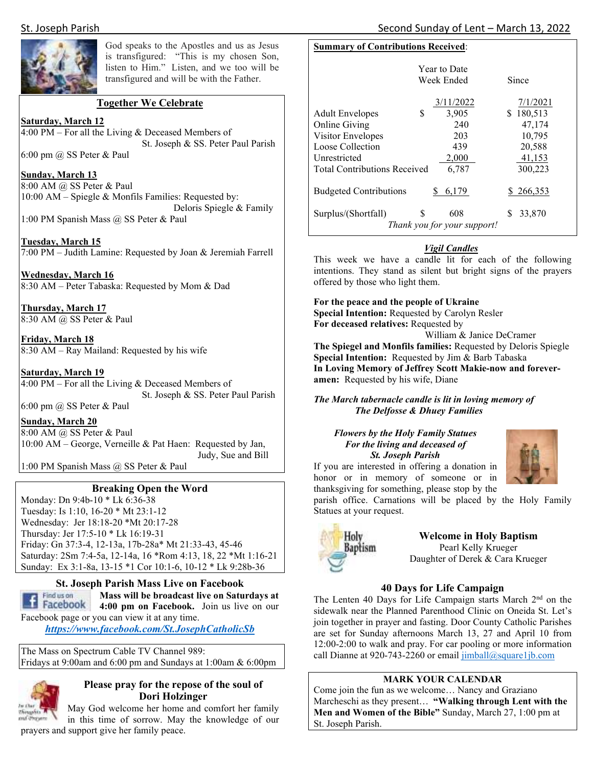

God speaks to the Apostles and us as Jesus is transfigured: "This is my chosen Son, listen to Him." Listen, and we too will be transfigured and will be with the Father.

#### **Together We Celebrate**

**Saturday, March 12**   $4:00 \text{ PM} - \text{For all the Living & Deceased Members of}$ St. Joseph & SS. Peter Paul Parish

6:00 pm @ SS Peter & Paul

#### **Sunday, March 13**

8:00 AM @ SS Peter & Paul 10:00 AM – Spiegle & Monfils Families: Requested by: Deloris Spiegle & Family 1:00 PM Spanish Mass @ SS Peter & Paul

**Tuesday, March 15** 

7:00 PM – Judith Lamine: Requested by Joan & Jeremiah Farrell

**Wednesday, March 16**  8:30 AM – Peter Tabaska: Requested by Mom & Dad

**Thursday, March 17**  8:30 AM @ SS Peter & Paul

**Friday, March 18**  8:30 AM – Ray Mailand: Requested by his wife

#### **Saturday, March 19**

4:00 PM – For all the Living  $&$  Deceased Members of St. Joseph & SS. Peter Paul Parish 6:00 pm  $(a)$  SS Peter & Paul

#### **Sunday, March 20**

8:00 AM @ SS Peter & Paul 10:00 AM – George, Verneille & Pat Haen: Requested by Jan, Judy, Sue and Bill

1:00 PM Spanish Mass @ SS Peter & Paul

#### **Breaking Open the Word**

Monday: Dn 9:4b-10 \* Lk 6:36-38 Tuesday: Is 1:10, 16-20 \* Mt 23:1-12 Wednesday: Jer 18:18-20 \*Mt 20:17-28 Thursday: Jer 17:5-10 \* Lk 16:19-31 Friday: Gn 37:3-4, 12-13a, 17b-28a\* Mt 21:33-43, 45-46 Saturday: 2Sm 7:4-5a, 12-14a, 16 \*Rom 4:13, 18, 22 \*Mt 1:16-21 Sunday: Ex 3:1-8a, 13-15 \*1 Cor 10:1-6, 10-12 \* Lk 9:28b-36



**St. Joseph Parish Mass Live on Facebook** 

**Mass will be broadcast live on Saturdays at 14:00 pm on Facebook.** Join us live on our Facebook page or you can view it at any time.

*https://www.facebook.com/St.JosephCatholicSb* 

The Mass on Spectrum Cable TV Channel 989: Fridays at 9:00am and 6:00 pm and Sundays at 1:00am & 6:00pm



#### **Please pray for the repose of the soul of Dori Holzinger**

May God welcome her home and comfort her family in this time of sorrow. May the knowledge of our prayers and support give her family peace.

#### **Summary of Contributions Received**:

|                                     | <b>Year to Date</b><br>Week Ended | Since       |
|-------------------------------------|-----------------------------------|-------------|
|                                     | 3/11/2022                         | 7/1/2021    |
| S<br><b>Adult Envelopes</b>         | 3,905                             | 180,513     |
| Online Giving                       | 240                               | 47,174      |
| Visitor Envelopes                   | 203                               | 10,795      |
| Loose Collection                    | 439                               | 20,588      |
| Unrestricted                        | 2,000                             | 41,153      |
| <b>Total Contributions Received</b> | 6,787                             | 300,223     |
| <b>Budgeted Contributions</b>       | 6,179                             | \$266,353   |
| S<br>Surplus/(Shortfall)            | 608                               | 33,870<br>S |
| Thank you for your support!         |                                   |             |

#### *Vigil Candles*

This week we have a candle lit for each of the following intentions. They stand as silent but bright signs of the prayers offered by those who light them.

**For the peace and the people of Ukraine Special Intention:** Requested by Carolyn Resler **For deceased relatives:** Requested by William & Janice DeCramer

**The Spiegel and Monfils families:** Requested by Deloris Spiegle **Special Intention:** Requested by Jim & Barb Tabaska **In Loving Memory of Jeffrey Scott Makie-now and foreveramen:** Requested by his wife, Diane

*The March tabernacle candle is lit in loving memory of The Delfosse & Dhuey Families* 

*Flowers by the Holy Family Statues For the living and deceased of St. Joseph Parish* If you are interested in offering a donation in

honor or in memory of someone or in



thanksgiving for something, please stop by the parish office. Carnations will be placed by the Holy Family Statues at your request.



**Welcome in Holy Baptism**  Pearl Kelly Krueger Daughter of Derek & Cara Krueger

#### **40 Days for Life Campaign**

The Lenten 40 Days for Life Campaign starts March 2<sup>nd</sup> on the sidewalk near the Planned Parenthood Clinic on Oneida St. Let's join together in prayer and fasting. Door County Catholic Parishes are set for Sunday afternoons March 13, 27 and April 10 from 12:00-2:00 to walk and pray. For car pooling or more information call Dianne at 920-743-2260 or email jimball@square1jb.com

#### **MARK YOUR CALENDAR**

Come join the fun as we welcome… Nancy and Graziano Marcheschi as they present… **"Walking through Lent with the Men and Women of the Bible"** Sunday, March 27, 1:00 pm at St. Joseph Parish.